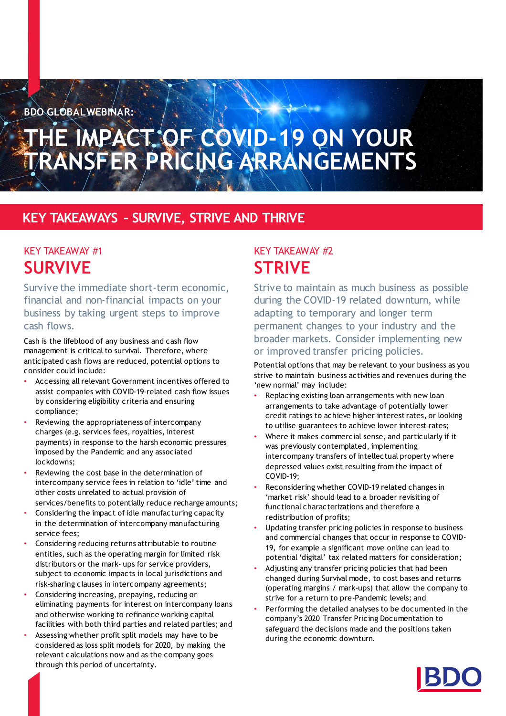**BDO GLOBALWEBINAR:**

# **THE IMPACT OF COVID-19 ON YOUR TRANSFER PRICING ARRANGEMENTS**

## **KEY TAKEAWAYS – SURVIVE, STRIVE AND THRIVE**

## KEY TAKEAWAY #1 **SURVIVE**

Survive the immediate short-term economic, financial and non-financial impacts on your business by taking urgent steps to improve cash flows.

Cash is the lifeblood of any business and cash flow management is critical to survival. Therefore, where anticipated cash flows are reduced, potential options to consider could include:

- Accessing all relevant Government incentives offered to assist companies with COVID-19-related cash flow issues by considering eligibility criteria and ensuring compliance;
- Reviewing the appropriateness of intercompany charges (e.g. services fees, royalties, interest payments) in response to the harsh economic pressures imposed by the Pandemic and any associated lockdowns;
- Reviewing the cost base in the determination of intercompany service fees in relation to 'idle' time and other costs unrelated to actual provision of services/benefits to potentially reduce recharge amounts;
- Considering the impact of idle manufacturing capacity in the determination of intercompany manufacturing service fees;
- Considering reducing returns attributable to routine entities, such as the operating margin for limited risk distributors or the mark- ups for service providers, subject to economic impacts in local jurisdictions and risk-sharing clauses in intercompany agreements;
- Considering increasing, prepaying, reducing or eliminating payments for interest on intercompany loans and otherwise working to refinance working capital facilities with both third parties and related parties; and
- Assessing whether profit split models may have to be considered as loss split models for 2020, by making the relevant calculations now and as the company goes through this period of uncertainty.

## KEY TAKEAWAY #2 **STRIVE**

Strive to maintain as much business as possible during the COVID-19 related downturn, while adapting to temporary and longer term permanent changes to your industry and the broader markets. Consider implementing new or improved transfer pricing policies.

Potential options that may be relevant to your business as you strive to maintain business activities and revenues during the 'new normal' may include:

- Replacing existing loan arrangements with new loan arrangements to take advantage of potentially lower credit ratings to achieve higher interest rates, or looking to utilise guarantees to achieve lower interest rates;
- Where it makes commercial sense, and particularly if it was previously contemplated, implementing intercompany transfers of intellectual property where depressed values exist resulting from the impact of COVID-19;
- Reconsidering whether COVID-19 related changes in 'market risk' should lead to a broader revisiting of functional characterizations and therefore a redistribution of profits;
- Updating transfer pricing policies in response to business and commercial changes that occur in response to COVID-19, for example a significant move online can lead to potential 'digital' tax related matters for consideration;
- Adjusting any transfer pricing policies that had been changed during Survival mode, to cost bases and returns (operating margins / mark-ups) that allow the company to strive for a return to pre-Pandemic levels; and
- Performing the detailed analyses to be documented in the company's 2020 Transfer Pricing Documentation to safeguard the decisions made and the positions taken during the economic downturn.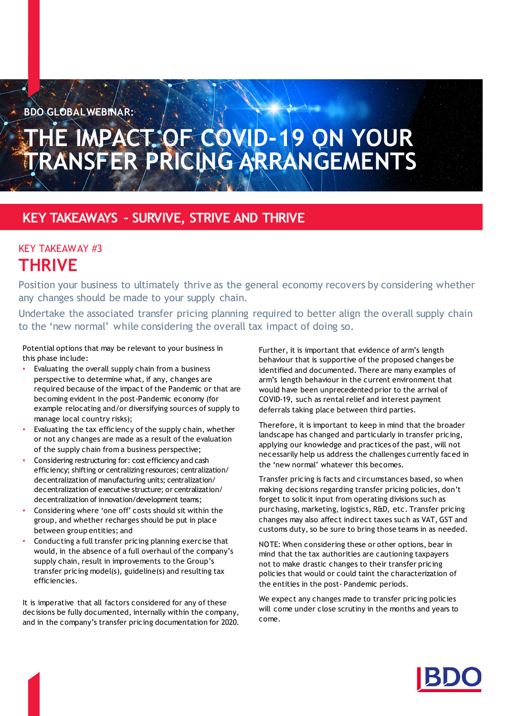**BDO GLOBALWEBINAR:**

# **THE IMPACT OF COVID-19 ON YOUR TRANSFER PRICING ARRANGEMENTS**

### **KEY TAKEAWAYS – SURVIVE, STRIVE AND THRIVE**

### KEY TAKEAWAY #3 **THRIVE**

Position your business to ultimately thrive as the general economy recovers by considering whether any changes should be made to your supply chain.

Undertake the associated transfer pricing planning required to better align the overall supply chain to the 'new normal' while considering the overall tax impact of doing so.

Potential options that may be relevant to your business in this phase include:

- Evaluating the overall supply chain from a business perspective to determine what, if any, changes are required because of the impact of the Pandemic or that are becoming evident in the post-Pandemic economy (for example relocating and/or diversifying sources of supply to manage local country risks);
- Evaluating the tax efficiency of the supply chain, whether or not any changes are made as a result of the evaluation of the supply chain from a business perspective;
- Considering restructuring for: cost efficiency and cash efficiency; shifting or centralizing resources; centralization/ decentralization of manufacturing units; centralization/ decentralization of executive structure; or centralization/ decentralization of innovation/development teams;
- Considering where 'one off' costs should sit within the group, and whether recharges should be put in place between group entities; and
- Conducting a full transfer pricing planning exercise that would, in the absence of a full overhaul of the company's supply chain, result in improvements to the Group's transfer pricing model(s), guideline(s) and resulting tax efficiencies.

It is imperative that all factors considered for any of these decisions be fully documented, internally within the company, and in the company's transfer pricing documentation for 2020. Further, it is important that evidence of arm's length behaviour that is supportive of the proposed changes be identified and documented. There are many examples of arm's length behaviour in the current environment that would have been unprecedented prior to the arrival of COVID-19, such as rental relief and interest payment deferrals taking place between third parties.

Therefore, it is important to keep in mind that the broader landscape has changed and particularly in transfer pricing, applying our knowledge and practices of the past, will not necessarily help us address the challenges currently faced in the 'new normal' whatever this becomes.

Transfer pricing is facts and circumstances based, so when making decisions regarding transfer pricing policies, don't forget to solicit input from operating divisions such as purchasing, marketing, logistics, R&D, etc. Transfer pricing changes may also affect indirect taxes such as VAT, GST and customs duty, so be sure to bring those teams in as needed.

NOTE: When considering these or other options, bear in mind that the tax authorities are cautioning taxpayers not to make drastic changes to their transfer pricing policies that would or could taint the characterization of the entities in the post- Pandemic periods.

We expect any changes made to transfer pricing policies will come under close scrutiny in the months and years to come.